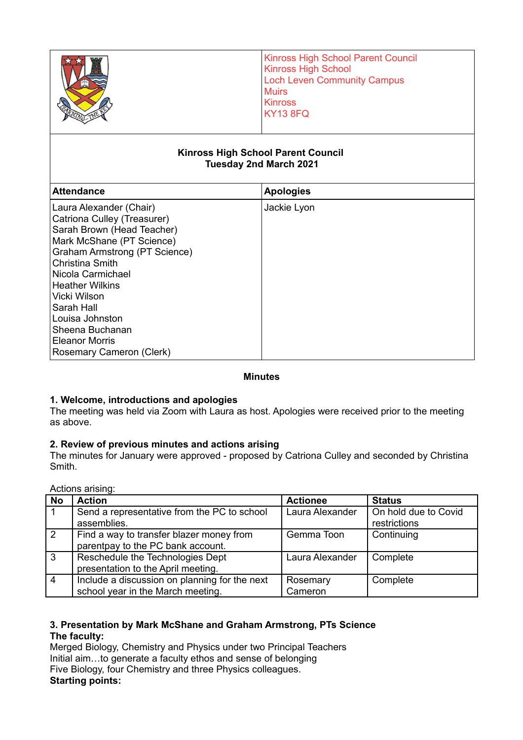

# **Tuesday 2nd March 2021**

| <b>Attendance</b>                                                                                                                                                                                                                  | <b>Apologies</b> |
|------------------------------------------------------------------------------------------------------------------------------------------------------------------------------------------------------------------------------------|------------------|
| Laura Alexander (Chair)<br>Catriona Culley (Treasurer)<br>Sarah Brown (Head Teacher)<br>Mark McShane (PT Science)<br><b>Graham Armstrong (PT Science)</b><br><b>Christina Smith</b><br>Nicola Carmichael<br><b>Heather Wilkins</b> | Jackie Lyon      |
| Vicki Wilson<br>Sarah Hall<br>Louisa Johnston<br>Sheena Buchanan<br><b>Eleanor Morris</b><br>Rosemary Cameron (Clerk)                                                                                                              |                  |

## **Minutes**

## **1. Welcome, introductions and apologies**

The meeting was held via Zoom with Laura as host. Apologies were received prior to the meeting as above.

## **2. Review of previous minutes and actions arising**

The minutes for January were approved - proposed by Catriona Culley and seconded by Christina Smith.

| Actions arising: |  |
|------------------|--|
|                  |  |

| <b>No</b> | <b>Action</b>                                 | <b>Actionee</b> | <b>Status</b>        |
|-----------|-----------------------------------------------|-----------------|----------------------|
| -1        | Send a representative from the PC to school   | Laura Alexander | On hold due to Covid |
|           | assemblies.                                   |                 | restrictions         |
| $\vert$ 2 | Find a way to transfer blazer money from      | Gemma Toon      | Continuing           |
|           | parentpay to the PC bank account.             |                 |                      |
| l 3       | Reschedule the Technologies Dept              | Laura Alexander | Complete             |
|           | presentation to the April meeting.            |                 |                      |
| l 4       | Include a discussion on planning for the next | Rosemary        | Complete             |
|           | school year in the March meeting.             | Cameron         |                      |

## **3. Presentation by Mark McShane and Graham Armstrong, PTs Science The faculty:**

Merged Biology, Chemistry and Physics under two Principal Teachers Initial aim…to generate a faculty ethos and sense of belonging Five Biology, four Chemistry and three Physics colleagues. **Starting points:**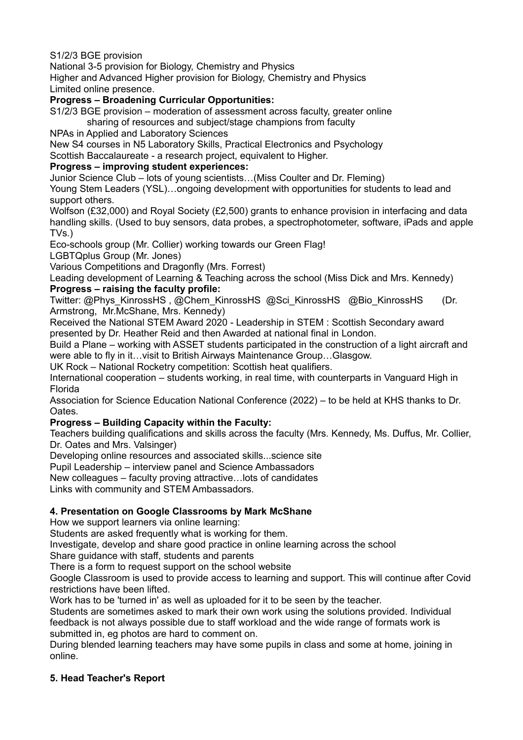S1/2/3 BGE provision

National 3-5 provision for Biology, Chemistry and Physics Higher and Advanced Higher provision for Biology, Chemistry and Physics Limited online presence.

# **Progress – Broadening Curricular Opportunities:**

S1/2/3 BGE provision – moderation of assessment across faculty, greater online sharing of resources and subject/stage champions from faculty

NPAs in Applied and Laboratory Sciences

New S4 courses in N5 Laboratory Skills, Practical Electronics and Psychology

Scottish Baccalaureate - a research project, equivalent to Higher.

# **Progress – improving student experiences:**

Junior Science Club – lots of young scientists…(Miss Coulter and Dr. Fleming)

Young Stem Leaders (YSL)…ongoing development with opportunities for students to lead and support others.

Wolfson (£32,000) and Royal Society (£2,500) grants to enhance provision in interfacing and data handling skills. (Used to buy sensors, data probes, a spectrophotometer, software, iPads and apple TVs.)

Eco-schools group (Mr. Collier) working towards our Green Flag!

LGBTQplus Group (Mr. Jones)

Various Competitions and Dragonfly (Mrs. Forrest)

Leading development of Learning & Teaching across the school (Miss Dick and Mrs. Kennedy) **Progress – raising the faculty profile:**

Twitter: @Phys KinrossHS , @Chem KinrossHS @Sci KinrossHS @Bio KinrossHS (Dr. Armstrong, Mr.McShane, Mrs. Kennedy)

Received the National STEM Award 2020 - Leadership in STEM : Scottish Secondary award presented by Dr. Heather Reid and then Awarded at national final in London.

Build a Plane – working with ASSET students participated in the construction of a light aircraft and were able to fly in it…visit to British Airways Maintenance Group…Glasgow.

UK Rock – National Rocketry competition: Scottish heat qualifiers.

International cooperation – students working, in real time, with counterparts in Vanguard High in Florida

Association for Science Education National Conference (2022) – to be held at KHS thanks to Dr. Oates.

# **Progress – Building Capacity within the Faculty:**

Teachers building qualifications and skills across the faculty (Mrs. Kennedy, Ms. Duffus, Mr. Collier, Dr. Oates and Mrs. Valsinger)

Developing online resources and associated skills...science site

Pupil Leadership – interview panel and Science Ambassadors

New colleagues – faculty proving attractive…lots of candidates

Links with community and STEM Ambassadors.

# **4. Presentation on Google Classrooms by Mark McShane**

How we support learners via online learning:

Students are asked frequently what is working for them.

Investigate, develop and share good practice in online learning across the school

Share guidance with staff, students and parents

There is a form to request support on the school website

Google Classroom is used to provide access to learning and support. This will continue after Covid restrictions have been lifted.

Work has to be 'turned in' as well as uploaded for it to be seen by the teacher.

Students are sometimes asked to mark their own work using the solutions provided. Individual feedback is not always possible due to staff workload and the wide range of formats work is submitted in, eg photos are hard to comment on.

During blended learning teachers may have some pupils in class and some at home, joining in online.

# **5. Head Teacher's Report**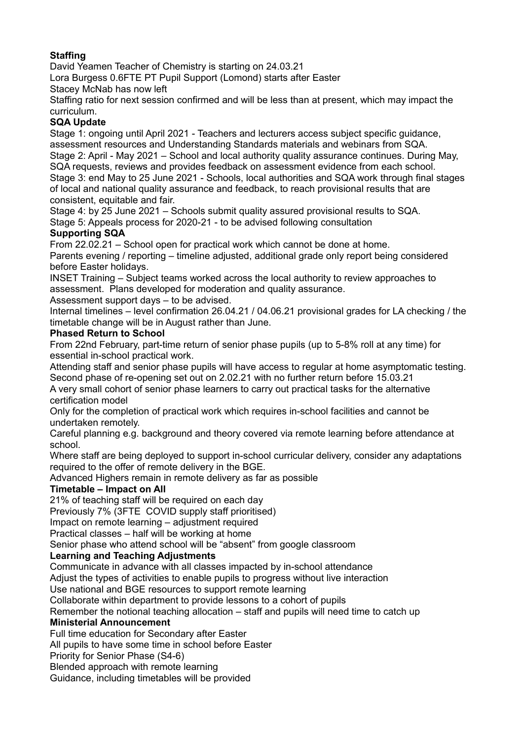# **Staffing**

David Yeamen Teacher of Chemistry is starting on 24.03.21

Lora Burgess 0.6FTE PT Pupil Support (Lomond) starts after Easter

Stacey McNab has now left

Staffing ratio for next session confirmed and will be less than at present, which may impact the curriculum.

# **SQA Update**

Stage 1: ongoing until April 2021 - Teachers and lecturers access subject specific guidance, assessment resources and Understanding Standards materials and webinars from SQA. Stage 2: April - May 2021 – School and local authority quality assurance continues. During May, SQA requests, reviews and provides feedback on assessment evidence from each school. Stage 3: end May to 25 June 2021 - Schools, local authorities and SQA work through final stages of local and national quality assurance and feedback, to reach provisional results that are consistent, equitable and fair.

Stage 4: by 25 June 2021 – Schools submit quality assured provisional results to SQA. Stage 5: Appeals process for 2020-21 - to be advised following consultation

## **Supporting SQA**

From 22.02.21 – School open for practical work which cannot be done at home. Parents evening / reporting – timeline adjusted, additional grade only report being considered before Easter holidays.

INSET Training – Subject teams worked across the local authority to review approaches to assessment. Plans developed for moderation and quality assurance.

Assessment support days – to be advised.

Internal timelines – level confirmation 26.04.21 / 04.06.21 provisional grades for LA checking / the timetable change will be in August rather than June.

## **Phased Return to School**

From 22nd February, part-time return of senior phase pupils (up to 5-8% roll at any time) for essential in-school practical work.

Attending staff and senior phase pupils will have access to regular at home asymptomatic testing. Second phase of re-opening set out on 2.02.21 with no further return before 15.03.21

A very small cohort of senior phase learners to carry out practical tasks for the alternative certification model

Only for the completion of practical work which requires in-school facilities and cannot be undertaken remotely.

Careful planning e.g. background and theory covered via remote learning before attendance at school.

Where staff are being deployed to support in-school curricular delivery, consider any adaptations required to the offer of remote delivery in the BGE.

Advanced Highers remain in remote delivery as far as possible

# **Timetable – Impact on All**

21% of teaching staff will be required on each day

Previously 7% (3FTE COVID supply staff prioritised)

Impact on remote learning – adjustment required

Practical classes – half will be working at home

Senior phase who attend school will be "absent" from google classroom

# **Learning and Teaching Adjustments**

Communicate in advance with all classes impacted by in-school attendance

Adjust the types of activities to enable pupils to progress without live interaction

Use national and BGE resources to support remote learning

Collaborate within department to provide lessons to a cohort of pupils

Remember the notional teaching allocation – staff and pupils will need time to catch up

# **Ministerial Announcement**

Full time education for Secondary after Easter

All pupils to have some time in school before Easter

Priority for Senior Phase (S4-6)

Blended approach with remote learning

Guidance, including timetables will be provided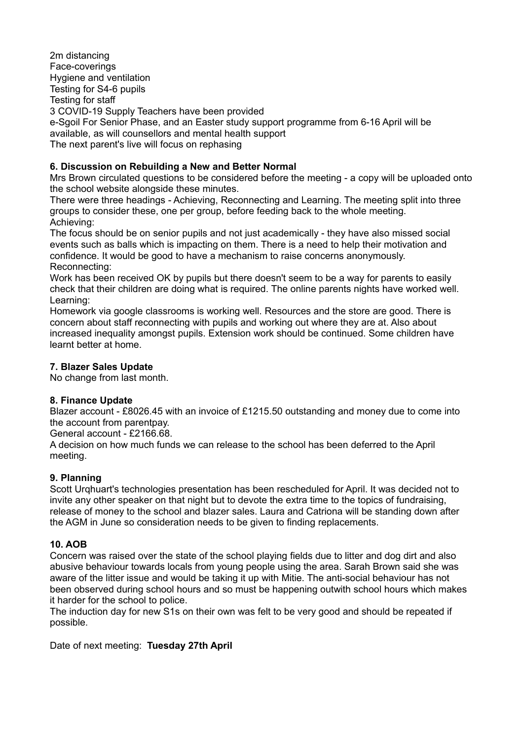2m distancing Face-coverings Hygiene and ventilation Testing for S4-6 pupils Testing for staff 3 COVID-19 Supply Teachers have been provided e-Sgoil For Senior Phase, and an Easter study support programme from 6-16 April will be available, as will counsellors and mental health support The next parent's live will focus on rephasing

## **6. Discussion on Rebuilding a New and Better Normal**

Mrs Brown circulated questions to be considered before the meeting - a copy will be uploaded onto the school website alongside these minutes.

There were three headings - Achieving, Reconnecting and Learning. The meeting split into three groups to consider these, one per group, before feeding back to the whole meeting. Achieving:

The focus should be on senior pupils and not just academically - they have also missed social events such as balls which is impacting on them. There is a need to help their motivation and confidence. It would be good to have a mechanism to raise concerns anonymously. Reconnecting:

Work has been received OK by pupils but there doesn't seem to be a way for parents to easily check that their children are doing what is required. The online parents nights have worked well. Learning:

Homework via google classrooms is working well. Resources and the store are good. There is concern about staff reconnecting with pupils and working out where they are at. Also about increased inequality amongst pupils. Extension work should be continued. Some children have learnt better at home.

## **7. Blazer Sales Update**

No change from last month.

## **8. Finance Update**

Blazer account - £8026.45 with an invoice of £1215.50 outstanding and money due to come into the account from parentpay.

General account - £2166.68.

A decision on how much funds we can release to the school has been deferred to the April meeting.

## **9. Planning**

Scott Urqhuart's technologies presentation has been rescheduled for April. It was decided not to invite any other speaker on that night but to devote the extra time to the topics of fundraising, release of money to the school and blazer sales. Laura and Catriona will be standing down after the AGM in June so consideration needs to be given to finding replacements.

# **10. AOB**

Concern was raised over the state of the school playing fields due to litter and dog dirt and also abusive behaviour towards locals from young people using the area. Sarah Brown said she was aware of the litter issue and would be taking it up with Mitie. The anti-social behaviour has not been observed during school hours and so must be happening outwith school hours which makes it harder for the school to police.

The induction day for new S1s on their own was felt to be very good and should be repeated if possible.

Date of next meeting: **Tuesday 27th April**